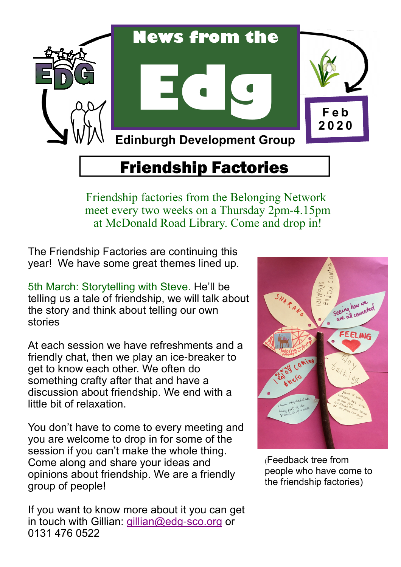

## Friendship Factories

Friendship factories from the Belonging Network meet every two weeks on a Thursday 2pm-4.15pm at McDonald Road Library. Come and drop in!

The Friendship Factories are continuing this year! We have some great themes lined up.

5th March: Storytelling with Steve. He'll be telling us a tale of friendship, we will talk about the story and think about telling our own stories

At each session we have refreshments and a friendly chat, then we play an ice-breaker to get to know each other. We often do something crafty after that and have a discussion about friendship. We end with a little bit of relaxation.

You don't have to come to every meeting and you are welcome to drop in for some of the session if you can't make the whole thing. Come along and share your ideas and opinions about friendship. We are a friendly group of people!

If you want to know more about it you can get in touch with Gillian: gillian@edg-sco.org or 0131 476 0522



(Feedback tree from people who have come to the friendship factories)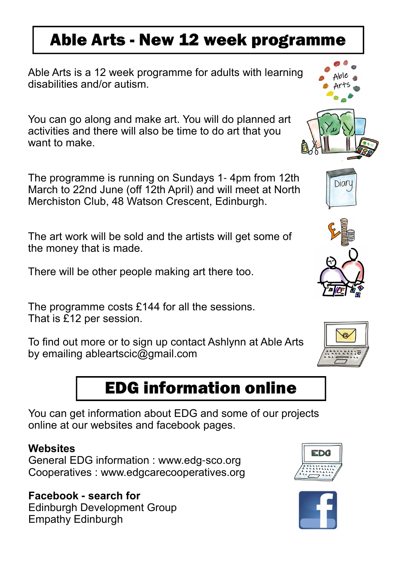## Able Arts - New 12 week programme

Able Arts is a 12 week programme for adults with learning disabilities and/or autism.

You can go along and make art. You will do planned art activities and there will also be time to do art that you want to make.

The programme is running on Sundays 1- 4pm from 12th March to 22nd June (off 12th April) and will meet at North Merchiston Club, 48 Watson Crescent, Edinburgh.

The art work will be sold and the artists will get some of the money that is made.

There will be other people making art there too.

The programme costs £144 for all the sessions. That is £12 per session.

To find out more or to sign up contact Ashlynn at Able Arts by emailing ableartscic@gmail.com

## EDG information online

You can get information about EDG and some of our projects online at our websites and facebook pages.

#### **Websites**

General EDG information : www.edg-sco.org Cooperatives : www.edgcarecooperatives.org

#### Facebook **-** search for Edinburgh Development Group Empathy Edinburgh







Diary





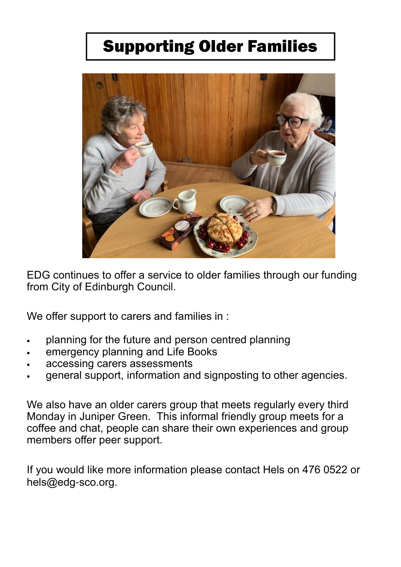## Supporting Older Families



EDG continues to offer a service to older families through our funding from City of Edinburgh Council.

We offer support to carers and families in :

- planning for the future and person centred planning
- emergency planning and Life Books
- accessing carers assessments
- general support, information and signposting to other agencies.

We also have an older carers group that meets regularly every third Monday in Juniper Green. This informal friendly group meets for a coffee and chat, people can share their own experiences and group members offer peer support.

If you would like more information please contact Hels on 476 0522 or hels@edg-sco.org.